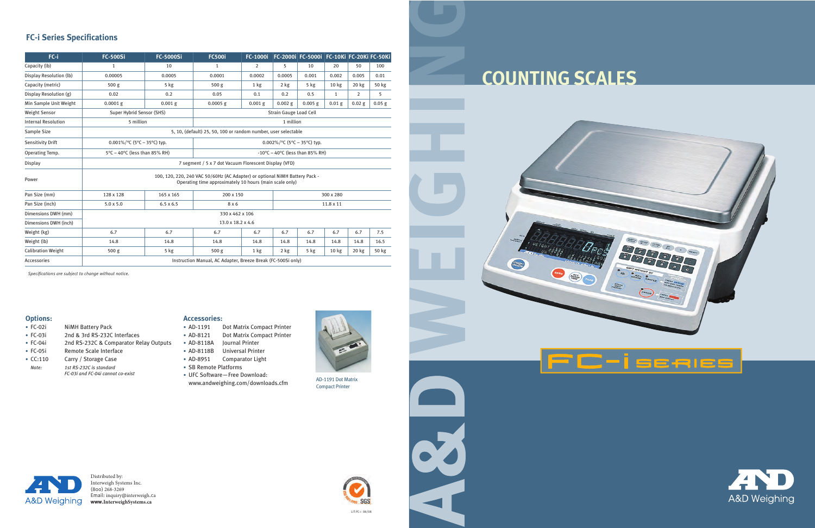### LIT:FC-i 08/08

 $\blacktriangleleft$ 

## **Options:**

- FC-02i NiMH Battery Pack
- FC-03i 2nd & 3rd RS-232C Interfaces
- FC-04i 2nd RS-232C & Comparator Relay Outputs
- FC-05i Remote Scale Interface
- CC:110 Carry / Storage Case *Note: 1st RS-232C is standard FC-03i and FC-04i cannot co-exist*
- AD-1191 Dot Matrix Compact Printer
- AD-8121 Dot Matrix Compact Printer
- AD-8118A Journal Printer
- AD-8118B Universal Printer
- AD-8951 Comparator Light
- SB Remote Platforms
- UFC Software—Free Download: www.andweighing.com/downloads.cfm



### **Accessories:**

# **FC-i Series Specifications**

*Specifications are subject to change without notice.*

Distributed by: Interweigh Systems Inc. (800) 268-3269 Email: inquiry@interweigh.ca **www.[InterweighSystems.ca](https://interweighsystems.ca/)**



# **COUNTING SCALES**

**CIRANDO** 

 $z_{\text{CRO}}$ 

 $\equiv$ 





| FC-i                       | <b>FC-500Si</b>                                                                                                                        | <b>FC-5000Si</b>                                               | <b>FC500i</b>                             | <b>FC-1000i</b> |           | FC-2000i FC-5000i FC-10Ki FC-20Ki FC-50Ki |                  |                |          |  |
|----------------------------|----------------------------------------------------------------------------------------------------------------------------------------|----------------------------------------------------------------|-------------------------------------------|-----------------|-----------|-------------------------------------------|------------------|----------------|----------|--|
| Capacity (lb)              | 1                                                                                                                                      | 10                                                             | $\mathbf{1}$                              | 2               | 5         | 10                                        | 20               | 50             | 100      |  |
| Display Resolution (lb)    | 0.00005                                                                                                                                | 0.0005                                                         | 0.0001                                    | 0.0002          | 0.0005    | 0.001                                     | 0.002            | 0.005          | 0.01     |  |
| Capacity (metric)          | 500 <sub>g</sub>                                                                                                                       | $5$ kg                                                         | 500 <sub>g</sub>                          | 1 kg            | $2$ kg    | $5$ kg                                    | 10 <sub>kg</sub> | 20 kg          | 50 kg    |  |
| Display Resolution (g)     | 0.02                                                                                                                                   | 0.2                                                            | 0.05                                      | 0.1             | 0.2       | 0.5                                       | $\mathbf{1}$     | $\overline{2}$ | 5        |  |
| Min Sample Unit Weight     | $0.0001$ g                                                                                                                             | $0.001$ g                                                      | $0.0005$ g                                | $0.001$ g       | $0.002$ g | $0.005$ g                                 | $0.01$ g         | $0.02$ g       | $0.05$ g |  |
| <b>Weight Sensor</b>       | Super Hybrid Sensor (SHS)                                                                                                              |                                                                | <b>Strain Gauge Load Cell</b>             |                 |           |                                           |                  |                |          |  |
| <b>Internal Resolution</b> | 5 million                                                                                                                              |                                                                | 1 million                                 |                 |           |                                           |                  |                |          |  |
| Sample Size                |                                                                                                                                        | 5, 10, (default) 25, 50, 100 or random number, user selectable |                                           |                 |           |                                           |                  |                |          |  |
| <b>Sensitivity Drift</b>   | 0.001%/°C (5°C - 35°C) typ.                                                                                                            |                                                                | 0.002%/°C (5°C - 35°C) typ.               |                 |           |                                           |                  |                |          |  |
| Operating Temp.            | 5°C - 40°C (less than 85% RH)                                                                                                          |                                                                | $-10^{\circ}$ C – 40°C (less than 85% RH) |                 |           |                                           |                  |                |          |  |
| <b>Display</b>             |                                                                                                                                        | 7 segment / 5 x 7 dot Vacuum Florescent Display (VFD)          |                                           |                 |           |                                           |                  |                |          |  |
| Power                      | 100, 120, 220, 240 VAC 50/60Hz (AC Adapter) or optional NiMH Battery Pack -<br>Operating time approximately 10 hours (main scale only) |                                                                |                                           |                 |           |                                           |                  |                |          |  |
| Pan Size (mm)              | 128 x 128                                                                                                                              | 165 x 165                                                      | 200 x 150                                 | 300 x 280       |           |                                           |                  |                |          |  |
| Pan Size (inch)            | $5.0 \times 5.0$                                                                                                                       | $6.5 \times 6.5$                                               | 8x6                                       |                 | 11.8 x 11 |                                           |                  |                |          |  |
| Dimensions DWH (mm)        |                                                                                                                                        | 330 x 462 x 106                                                |                                           |                 |           |                                           |                  |                |          |  |
| Dimensions DWH (inch)      |                                                                                                                                        | 13.0 x 18.2 x 4.6                                              |                                           |                 |           |                                           |                  |                |          |  |
| Weight (kg)                | 6.7                                                                                                                                    | 6.7                                                            | 6.7                                       | 6.7             | 6.7       | 6.7                                       | 6.7              | 6.7            | 7.5      |  |
| Weight (lb)                | 14.8                                                                                                                                   | 14.8                                                           | 14.8                                      | 14.8            | 14.8      | 14.8                                      | 14.8             | 14.8           | 16.5     |  |
| <b>Calibration Weight</b>  | 500 <sub>g</sub>                                                                                                                       | $5$ kg                                                         | 500 <sub>g</sub>                          | 1 kg            | $2$ kg    | $5$ kg                                    | 10 <sub>kg</sub> | $20$ kg        | 50 kg    |  |
| Accessories                |                                                                                                                                        | Instruction Manual, AC Adapter, Breeze Break (FC-500Si only)   |                                           |                 |           |                                           |                  |                |          |  |

AD-1191 Dot Matrix Compact Printer